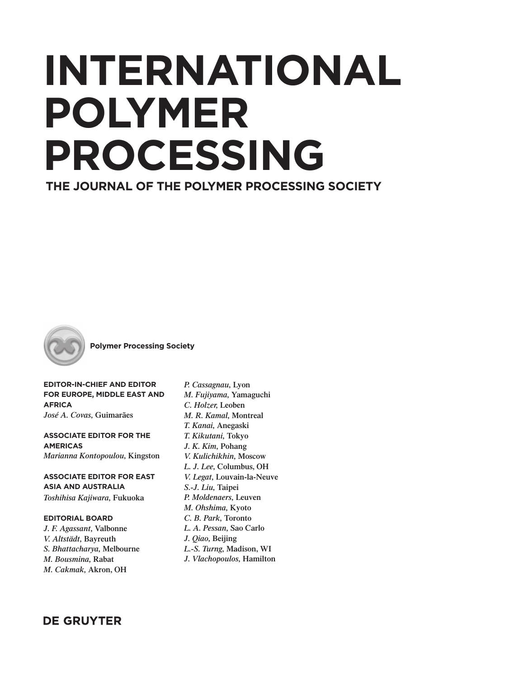# **INTERNATIONAL POLYMER PROCESSING**

**THE JOURNAL OF THE POLYMER PROCESSING SOCIETY**



**Polymer Processing Society**

**EDITOR-IN-CHIEF AND EDITOR FOR EUROPE, MIDDLE EAST AND AFRICA**  *José A. Covas,* **Guimarães**

**ASSOCIATE EDITOR FOR THE AMERICAS** *Marianna Kontopoulou,* **Kingston**

**ASSOCIATE EDITOR FOR EAST ASIA AND AUSTRALIA** *Toshihisa Kajiwara,* **Fukuoka**

**EDITORIAL BOARD** *J. F. Agassant,* **Valbonne** *V. Altstädt,* **Bayreuth** *S. Bhattacharya,* **Melbourne** *M. Bousmina,* **Rabat** *M. Cakmak,* **Akron, OH**

*P. Cassagnau,* **Lyon** *M. Fujiyama,* **Yamaguchi** *C. Holzer,* **Leoben** *M. R. Kamal,* **Montreal** *T. Kanai,* **Anegaski** *T. Kikutani,* **Tokyo** *J. K. Kim,* **Pohang** *V. Kulichikhin,* **Moscow** *L. J. Lee,* **Columbus, OH** *V. Legat,* **Louvain-la-Neuve** *S.-J. Liu,* **Taipei** *P. Moldenaers,* **Leuven** *M. Ohshima,* **Kyoto** *C. B. Park,* **Toronto** *L. A. Pessan,* **Sao Carlo** *J. Qiao,* **Beijing** *L.-S. Turng,* **Madison, WI** *J. Vlachopoulos,* **Hamilton**

**DE GRUYTER**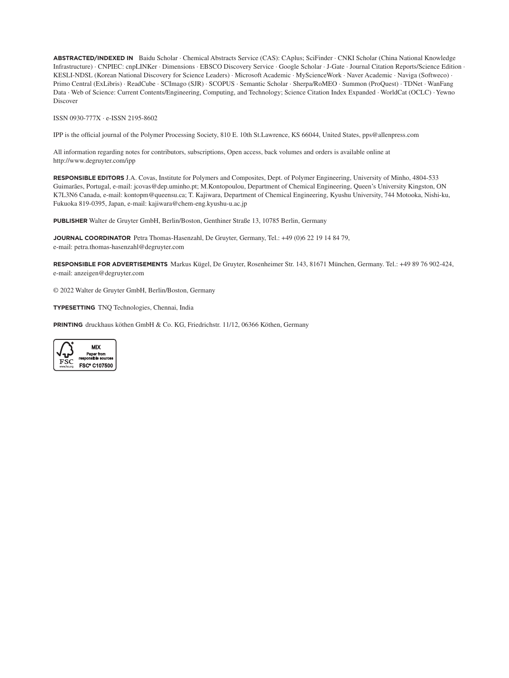**ABSTRACTED/INDEXED IN** Baidu Scholar · Chemical Abstracts Service (CAS): CAplus; SciFinder · CNKI Scholar (China National Knowledge Infrastructure) · CNPIEC: cnpLINKer · Dimensions · EBSCO Discovery Service · Google Scholar · J-Gate · Journal Citation Reports/Science Edition · KESLI-NDSL (Korean National Discovery for Science Leaders) · Microsoft Academic · MyScienceWork · Naver Academic · Naviga (Softweco) · Primo Central (ExLibris) · ReadCube · SCImago (SJR) · SCOPUS · Semantic Scholar · Sherpa/RoMEO · Summon (ProQuest) · TDNet · WanFang Data · Web of Science: Current Contents/Engineering, Computing, and Technology; Science Citation Index Expanded · WorldCat (OCLC) · Yewno Discover

ISSN 0930-777X ∙ e-ISSN 2195-8602

IPP is the official journal of the Polymer Processing Society, 810 E. 10th St.Lawrence, KS 66044, United States, pps@allenpress.com

All information regarding notes for contributors, subscriptions, Open access, back volumes and orders is available online at http://www.degruyter.com/ipp

**RESPONSIBLE EDITORS** J.A. Covas, Institute for Polymers and Composites, Dept. of Polymer Engineering, University of Minho, 4804-533 Guimarães, Portugal, e-mail: jcovas@dep.uminho.pt; M.Kontopoulou, Department of Chemical Engineering, Queen's University Kingston, ON K7L3N6 Canada, e-mail: kontopm@queensu.ca; T. Kajiwara, Department of Chemical Engineering, Kyushu University, 744 Motooka, Nishi-ku, Fukuoka 819-0395, Japan, e-mail: kajiwara@chem-eng.kyushu-u.ac.jp

**PUBLISHER** Walter de Gruyter GmbH, Berlin/Boston, Genthiner Straße 13, 10785 Berlin, Germany

**JOURNAL COORDINATOR** Petra Thomas-Hasenzahl, De Gruyter, Germany, Tel.: +49 (0)6 22 19 14 84 79, e-mail: petra.thomas-hasenzahl@degruyter.com

**RESPONSIBLE FOR ADVERTISEMENTS** Markus Kügel, De Gruyter, Rosenheimer Str. 143, 81671 München, Germany. Tel.: +49 89 76 902-424, e-mail: anzeigen@degruyter.com

© 2022 Walter de Gruyter GmbH, Berlin/Boston, Germany

**TYPESETTING** TNQ Technologies, Chennai, India

**PRINTING** druckhaus köthen GmbH & Co. KG, Friedrichstr. 11/12, 06366 Köthen, Germany